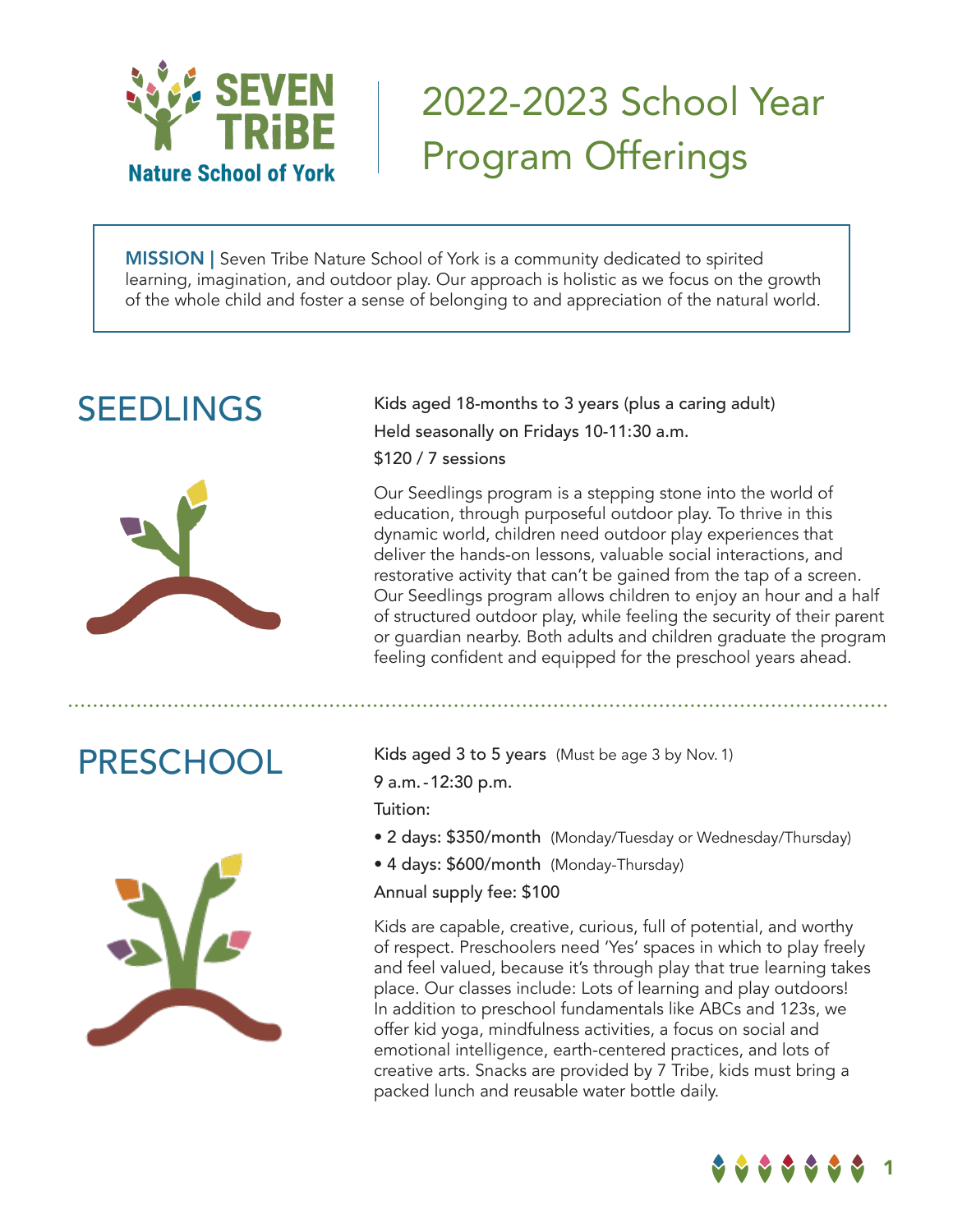

# 2022-2023 School Year Program Offerings

**MISSION** | Seven Tribe Nature School of York is a community dedicated to spirited learning, imagination, and outdoor play. Our approach is holistic as we focus on the growth of the whole child and foster a sense of belonging to and appreciation of the natural world.

## SEEDLINGS



Kids aged 18-months to 3 years (plus a caring adult) Held seasonally on Fridays 10-11:30 a.m. \$120 / 7 sessions

Our Seedlings program is a stepping stone into the world of education, through purposeful outdoor play. To thrive in this dynamic world, children need outdoor play experiences that deliver the hands-on lessons, valuable social interactions, and restorative activity that can't be gained from the tap of a screen. Our Seedlings program allows children to enjoy an hour and a half of structured outdoor play, while feeling the security of their parent or guardian nearby. Both adults and children graduate the program feeling confident and equipped for the preschool years ahead.



PRESCHOOL Kids aged 3 to 5 years (Must be age 3 by Nov. 1) 9 a.m.-12:30 p.m.

Tuition:

- 2 days: \$350/month (Monday/Tuesday or Wednesday/Thursday)
- 4 days: \$600/month (Monday-Thursday)

Annual supply fee: \$100

Kids are capable, creative, curious, full of potential, and worthy of respect. Preschoolers need 'Yes' spaces in which to play freely and feel valued, because it's through play that true learning takes place. Our classes include: Lots of learning and play outdoors! In addition to preschool fundamentals like ABCs and 123s, we offer kid yoga, mindfulness activities, a focus on social and emotional intelligence, earth-centered practices, and lots of creative arts. Snacks are provided by 7 Tribe, kids must bring a packed lunch and reusable water bottle daily.